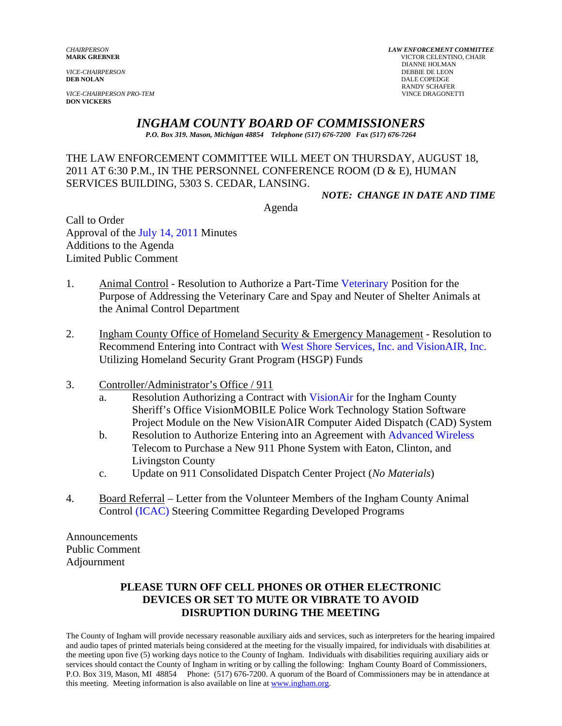**VICE-CHAIRPERSON PRO-TEM DON VICKERS** 

*CHAIRPERSON LAW ENFORCEMENT COMMITTEE LAW ENFORCEMENT COMMITTEE MARK GREENER* **WICTOR CELENTINO, CHAIR<br>DIANNE HOLMAN** DIANNE HOLMAN *VICE-CHAIRPERSON* DEBBIE DE LEON DALE COPEDGE RANDY SCHAFER<br>VINCE DRAGONETTI

### *INGHAM COUNTY BOARD OF COMMISSIONERS*

*P.O. Box 319. Mason, Michigan 48854 Telephone (517) 676-7200 Fax (517) 676-7264*

THE LAW ENFORCEMENT COMMITTEE WILL MEET ON THURSDAY, AUGUST 18, 2011 AT 6:30 P.M., IN THE PERSONNEL CONFERENCE ROOM (D & E), HUMAN SERVICES BUILDING, 5303 S. CEDAR, LANSING.

*NOTE: CHANGE IN DATE AND TIME* 

Agenda

Call to Order Approval of [the July 14, 2011 Minutes](#page-1-0)  Additions to the Agenda Limited Public Comment

- 1. Animal Control Resolution to Authorize a Part-Ti[me Veterinary Position for](#page-7-0) the Purpose of Addressing the Veterinary Care and Spay and Neuter of Shelter Animals at the Animal Control Department
- 2. Ingham County Office of Homeland Security & Emergency Management Resolution to Recommend Entering into Contract wit[h West Shore Services, Inc. and VisionAIR, Inc.](#page-10-0) Utilizing Homeland Security Grant Program (HSGP) Funds
- 3. Controller/Administrator's Office / 911
	- a. Resolution Authorizing a Contract w[ith VisionAir for the Ingha](#page-14-0)m County Sheriff's Office VisionMOBILE Police Work Technology Station Software Project Module on the New VisionAIR Computer Aided Dispatch (CAD) System
	- b. Resolution to Authorize Entering into an Agreement wit[h Advanced Wireless](#page-18-0)  Telecom to Purchase a New 911 Phone System with Eaton, Clinton, and Livingston County
	- c. Update on 911 Consolidated Dispatch Center Project (*No Materials*)
- 4. Board Referral Letter from the Volunteer Members of the Ingham County Animal Con[trol \(ICAC\) Steering Committee](#page-20-0) Regarding Developed Programs

Announcements Public Comment Adjournment

### **PLEASE TURN OFF CELL PHONES OR OTHER ELECTRONIC DEVICES OR SET TO MUTE OR VIBRATE TO AVOID DISRUPTION DURING THE MEETING**

The County of Ingham will provide necessary reasonable auxiliary aids and services, such as interpreters for the hearing impaired and audio tapes of printed materials being considered at the meeting for the visually impaired, for individuals with disabilities at the meeting upon five (5) working days notice to the County of Ingham. Individuals with disabilities requiring auxiliary aids or services should contact the County of Ingham in writing or by calling the following: Ingham County Board of Commissioners, P.O. Box 319, Mason, MI 48854 Phone: (517) 676-7200. A quorum of the Board of Commissioners may be in attendance at this meeting. Meeting information is also available on line at www.ingham.org.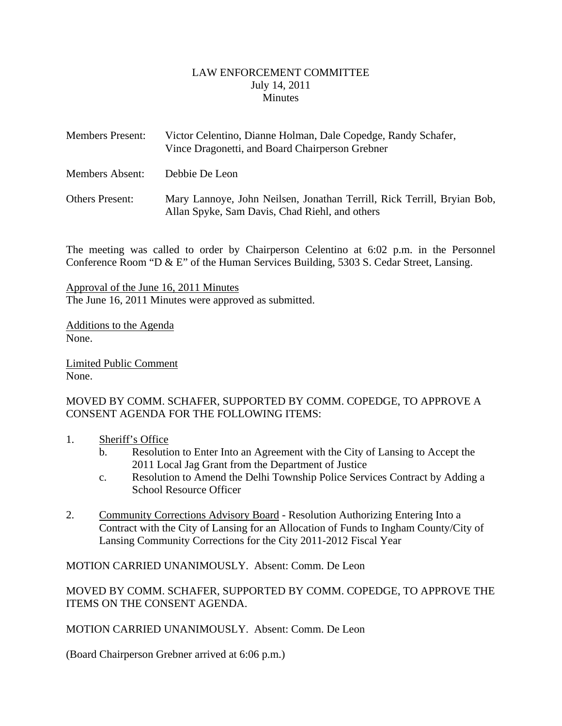### LAW ENFORCEMENT COMMITTEE July 14, 2011 **Minutes**

<span id="page-1-0"></span>

| <b>Members Present:</b> | Victor Celentino, Dianne Holman, Dale Copedge, Randy Schafer,<br>Vince Dragonetti, and Board Chairperson Grebner          |
|-------------------------|---------------------------------------------------------------------------------------------------------------------------|
| Members Absent:         | Debbie De Leon                                                                                                            |
| <b>Others Present:</b>  | Mary Lannoye, John Neilsen, Jonathan Terrill, Rick Terrill, Bryian Bob,<br>Allan Spyke, Sam Davis, Chad Riehl, and others |

The meeting was called to order by Chairperson Celentino at 6:02 p.m. in the Personnel Conference Room "D & E" of the Human Services Building, 5303 S. Cedar Street, Lansing.

Approval of the June 16, 2011 Minutes The June 16, 2011 Minutes were approved as submitted.

Additions to the Agenda None.

Limited Public Comment None.

MOVED BY COMM. SCHAFER, SUPPORTED BY COMM. COPEDGE, TO APPROVE A CONSENT AGENDA FOR THE FOLLOWING ITEMS:

- 1. Sheriff's Office
	- b. Resolution to Enter Into an Agreement with the City of Lansing to Accept the 2011 Local Jag Grant from the Department of Justice
	- c. Resolution to Amend the Delhi Township Police Services Contract by Adding a School Resource Officer
- 2. Community Corrections Advisory Board Resolution Authorizing Entering Into a Contract with the City of Lansing for an Allocation of Funds to Ingham County/City of Lansing Community Corrections for the City 2011-2012 Fiscal Year

MOTION CARRIED UNANIMOUSLY. Absent: Comm. De Leon

MOVED BY COMM. SCHAFER, SUPPORTED BY COMM. COPEDGE, TO APPROVE THE ITEMS ON THE CONSENT AGENDA.

MOTION CARRIED UNANIMOUSLY. Absent: Comm. De Leon

(Board Chairperson Grebner arrived at 6:06 p.m.)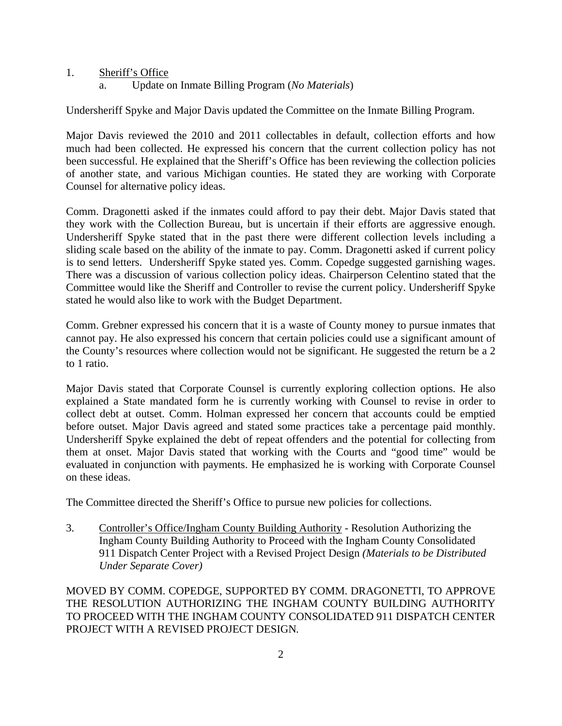- 1. Sheriff's Office
	- a. Update on Inmate Billing Program (*No Materials*)

Undersheriff Spyke and Major Davis updated the Committee on the Inmate Billing Program.

Major Davis reviewed the 2010 and 2011 collectables in default, collection efforts and how much had been collected. He expressed his concern that the current collection policy has not been successful. He explained that the Sheriff's Office has been reviewing the collection policies of another state, and various Michigan counties. He stated they are working with Corporate Counsel for alternative policy ideas.

Comm. Dragonetti asked if the inmates could afford to pay their debt. Major Davis stated that they work with the Collection Bureau, but is uncertain if their efforts are aggressive enough. Undersheriff Spyke stated that in the past there were different collection levels including a sliding scale based on the ability of the inmate to pay. Comm. Dragonetti asked if current policy is to send letters. Undersheriff Spyke stated yes. Comm. Copedge suggested garnishing wages. There was a discussion of various collection policy ideas. Chairperson Celentino stated that the Committee would like the Sheriff and Controller to revise the current policy. Undersheriff Spyke stated he would also like to work with the Budget Department.

Comm. Grebner expressed his concern that it is a waste of County money to pursue inmates that cannot pay. He also expressed his concern that certain policies could use a significant amount of the County's resources where collection would not be significant. He suggested the return be a 2 to 1 ratio.

Major Davis stated that Corporate Counsel is currently exploring collection options. He also explained a State mandated form he is currently working with Counsel to revise in order to collect debt at outset. Comm. Holman expressed her concern that accounts could be emptied before outset. Major Davis agreed and stated some practices take a percentage paid monthly. Undersheriff Spyke explained the debt of repeat offenders and the potential for collecting from them at onset. Major Davis stated that working with the Courts and "good time" would be evaluated in conjunction with payments. He emphasized he is working with Corporate Counsel on these ideas.

The Committee directed the Sheriff's Office to pursue new policies for collections.

3. Controller's Office/Ingham County Building Authority - Resolution Authorizing the Ingham County Building Authority to Proceed with the Ingham County Consolidated 911 Dispatch Center Project with a Revised Project Design *(Materials to be Distributed Under Separate Cover)* 

MOVED BY COMM. COPEDGE, SUPPORTED BY COMM. DRAGONETTI, TO APPROVE THE RESOLUTION AUTHORIZING THE INGHAM COUNTY BUILDING AUTHORITY TO PROCEED WITH THE INGHAM COUNTY CONSOLIDATED 911 DISPATCH CENTER PROJECT WITH A REVISED PROJECT DESIGN*.*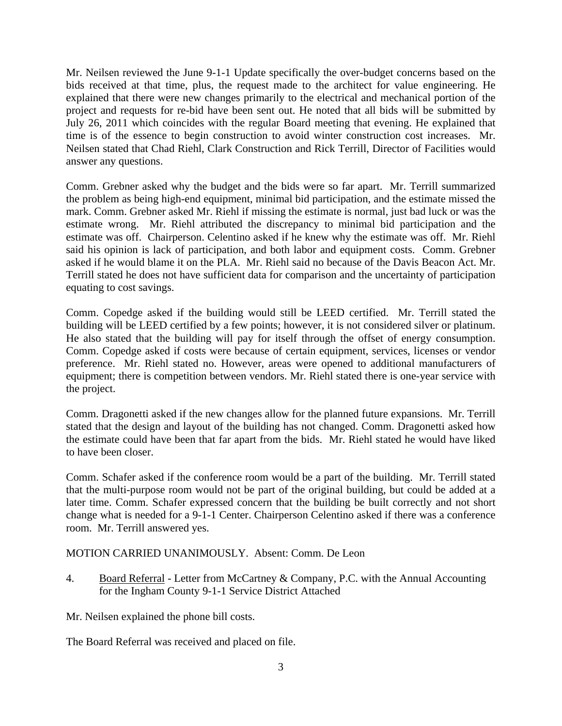Mr. Neilsen reviewed the June 9-1-1 Update specifically the over-budget concerns based on the bids received at that time, plus, the request made to the architect for value engineering. He explained that there were new changes primarily to the electrical and mechanical portion of the project and requests for re-bid have been sent out. He noted that all bids will be submitted by July 26, 2011 which coincides with the regular Board meeting that evening. He explained that time is of the essence to begin construction to avoid winter construction cost increases. Mr. Neilsen stated that Chad Riehl, Clark Construction and Rick Terrill, Director of Facilities would answer any questions.

Comm. Grebner asked why the budget and the bids were so far apart. Mr. Terrill summarized the problem as being high-end equipment, minimal bid participation, and the estimate missed the mark. Comm. Grebner asked Mr. Riehl if missing the estimate is normal, just bad luck or was the estimate wrong. Mr. Riehl attributed the discrepancy to minimal bid participation and the estimate was off. Chairperson. Celentino asked if he knew why the estimate was off. Mr. Riehl said his opinion is lack of participation, and both labor and equipment costs. Comm. Grebner asked if he would blame it on the PLA. Mr. Riehl said no because of the Davis Beacon Act. Mr. Terrill stated he does not have sufficient data for comparison and the uncertainty of participation equating to cost savings.

Comm. Copedge asked if the building would still be LEED certified. Mr. Terrill stated the building will be LEED certified by a few points; however, it is not considered silver or platinum. He also stated that the building will pay for itself through the offset of energy consumption. Comm. Copedge asked if costs were because of certain equipment, services, licenses or vendor preference. Mr. Riehl stated no. However, areas were opened to additional manufacturers of equipment; there is competition between vendors. Mr. Riehl stated there is one-year service with the project.

Comm. Dragonetti asked if the new changes allow for the planned future expansions. Mr. Terrill stated that the design and layout of the building has not changed. Comm. Dragonetti asked how the estimate could have been that far apart from the bids. Mr. Riehl stated he would have liked to have been closer.

Comm. Schafer asked if the conference room would be a part of the building. Mr. Terrill stated that the multi-purpose room would not be part of the original building, but could be added at a later time. Comm. Schafer expressed concern that the building be built correctly and not short change what is needed for a 9-1-1 Center. Chairperson Celentino asked if there was a conference room. Mr. Terrill answered yes.

### MOTION CARRIED UNANIMOUSLY. Absent: Comm. De Leon

4. Board Referral - Letter from McCartney & Company, P.C. with the Annual Accounting for the Ingham County 9-1-1 Service District Attached

Mr. Neilsen explained the phone bill costs.

The Board Referral was received and placed on file.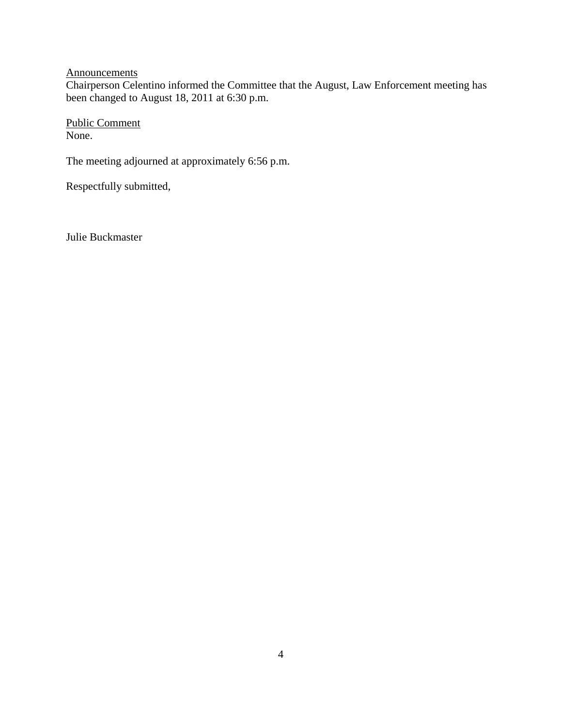**Announcements** 

Chairperson Celentino informed the Committee that the August, Law Enforcement meeting has been changed to August 18, 2011 at 6:30 p.m.

Public Comment None.

The meeting adjourned at approximately 6:56 p.m.

Respectfully submitted,

Julie Buckmaster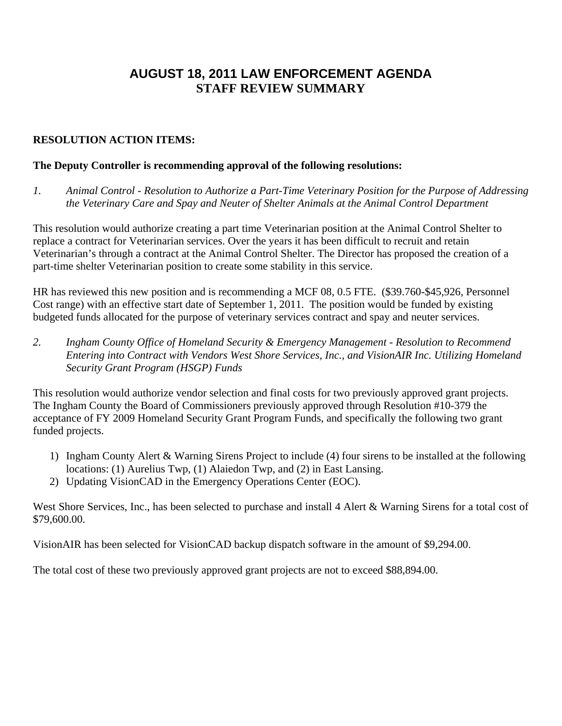# **AUGUST 18, 2011 LAW ENFORCEMENT AGENDA STAFF REVIEW SUMMARY**

### **RESOLUTION ACTION ITEMS:**

### **The Deputy Controller is recommending approval of the following resolutions:**

*1. Animal Control - Resolution to Authorize a Part-Time Veterinary Position for the Purpose of Addressing the Veterinary Care and Spay and Neuter of Shelter Animals at the Animal Control Department* 

This resolution would authorize creating a part time Veterinarian position at the Animal Control Shelter to replace a contract for Veterinarian services. Over the years it has been difficult to recruit and retain Veterinarian's through a contract at the Animal Control Shelter. The Director has proposed the creation of a part-time shelter Veterinarian position to create some stability in this service.

HR has reviewed this new position and is recommending a MCF 08, 0.5 FTE. (\$39.760-\$45,926, Personnel Cost range) with an effective start date of September 1, 2011. The position would be funded by existing budgeted funds allocated for the purpose of veterinary services contract and spay and neuter services.

*2. Ingham County Office of Homeland Security & Emergency Management - Resolution to Recommend Entering into Contract with Vendors West Shore Services, Inc., and VisionAIR Inc. Utilizing Homeland Security Grant Program (HSGP) Funds* 

This resolution would authorize vendor selection and final costs for two previously approved grant projects. The Ingham County the Board of Commissioners previously approved through Resolution #10-379 the acceptance of FY 2009 Homeland Security Grant Program Funds, and specifically the following two grant funded projects.

- 1) Ingham County Alert & Warning Sirens Project to include (4) four sirens to be installed at the following locations: (1) Aurelius Twp, (1) Alaiedon Twp, and (2) in East Lansing.
- 2) Updating VisionCAD in the Emergency Operations Center (EOC).

West Shore Services, Inc., has been selected to purchase and install 4 Alert & Warning Sirens for a total cost of \$79,600.00.

VisionAIR has been selected for VisionCAD backup dispatch software in the amount of \$9,294.00.

The total cost of these two previously approved grant projects are not to exceed \$88,894.00.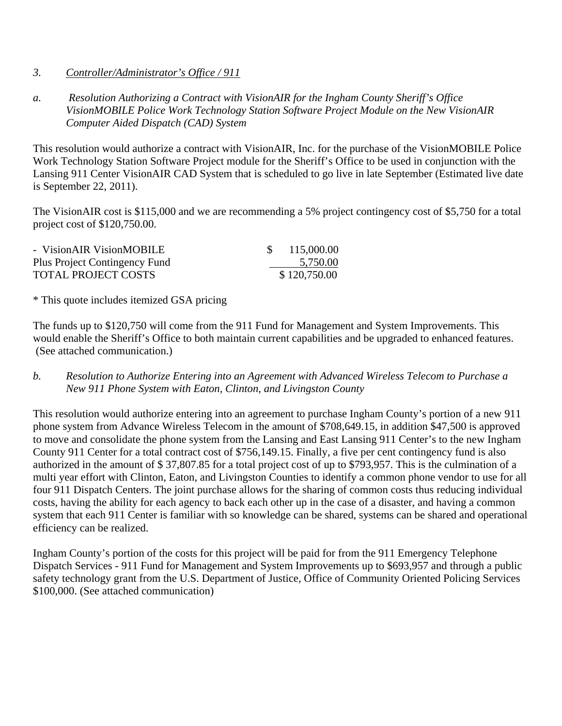- *3. Controller/Administrator's Office / 911*
- *a. Resolution Authorizing a Contract with VisionAIR for the Ingham County Sheriff's Office VisionMOBILE Police Work Technology Station Software Project Module on the New VisionAIR Computer Aided Dispatch (CAD) System*

This resolution would authorize a contract with VisionAIR, Inc. for the purchase of the VisionMOBILE Police Work Technology Station Software Project module for the Sheriff's Office to be used in conjunction with the Lansing 911 Center VisionAIR CAD System that is scheduled to go live in late September (Estimated live date is September 22, 2011).

The VisionAIR cost is \$115,000 and we are recommending a 5% project contingency cost of \$5,750 for a total project cost of \$120,750.00.

| - VisionAIR VisionMOBILE      | 115,000.00   |
|-------------------------------|--------------|
| Plus Project Contingency Fund | 5,750.00     |
| TOTAL PROJECT COSTS           | \$120,750.00 |

\* This quote includes itemized GSA pricing

The funds up to \$120,750 will come from the 911 Fund for Management and System Improvements. This would enable the Sheriff's Office to both maintain current capabilities and be upgraded to enhanced features. (See attached communication.)

*b. Resolution to Authorize Entering into an Agreement with Advanced Wireless Telecom to Purchase a New 911 Phone System with Eaton, Clinton, and Livingston County* 

This resolution would authorize entering into an agreement to purchase Ingham County's portion of a new 911 phone system from Advance Wireless Telecom in the amount of \$708,649.15, in addition \$47,500 is approved to move and consolidate the phone system from the Lansing and East Lansing 911 Center's to the new Ingham County 911 Center for a total contract cost of \$756,149.15. Finally, a five per cent contingency fund is also authorized in the amount of \$ 37,807.85 for a total project cost of up to \$793,957. This is the culmination of a multi year effort with Clinton, Eaton, and Livingston Counties to identify a common phone vendor to use for all four 911 Dispatch Centers. The joint purchase allows for the sharing of common costs thus reducing individual costs, having the ability for each agency to back each other up in the case of a disaster, and having a common system that each 911 Center is familiar with so knowledge can be shared, systems can be shared and operational efficiency can be realized.

Ingham County's portion of the costs for this project will be paid for from the 911 Emergency Telephone Dispatch Services - 911 Fund for Management and System Improvements up to \$693,957 and through a public safety technology grant from the U.S. Department of Justice, Office of Community Oriented Policing Services \$100,000. (See attached communication)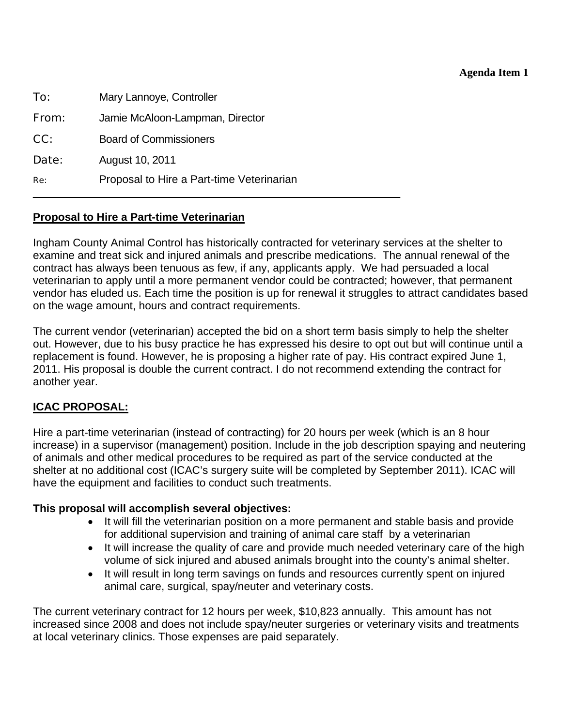### **Agenda Item 1**

<span id="page-7-0"></span>

| To:   | Mary Lannoye, Controller                  |
|-------|-------------------------------------------|
| From: | Jamie McAloon-Lampman, Director           |
| CC:   | <b>Board of Commissioners</b>             |
| Date: | August 10, 2011                           |
| Re:   | Proposal to Hire a Part-time Veterinarian |
|       |                                           |

### **Proposal to Hire a Part-time Veterinarian**

Ingham County Animal Control has historically contracted for veterinary services at the shelter to examine and treat sick and injured animals and prescribe medications. The annual renewal of the contract has always been tenuous as few, if any, applicants apply. We had persuaded a local veterinarian to apply until a more permanent vendor could be contracted; however, that permanent vendor has eluded us. Each time the position is up for renewal it struggles to attract candidates based on the wage amount, hours and contract requirements.

The current vendor (veterinarian) accepted the bid on a short term basis simply to help the shelter out. However, due to his busy practice he has expressed his desire to opt out but will continue until a replacement is found. However, he is proposing a higher rate of pay. His contract expired June 1, 2011. His proposal is double the current contract. I do not recommend extending the contract for another year.

### **ICAC PROPOSAL:**

Hire a part-time veterinarian (instead of contracting) for 20 hours per week (which is an 8 hour increase) in a supervisor (management) position. Include in the job description spaying and neutering of animals and other medical procedures to be required as part of the service conducted at the shelter at no additional cost (ICAC's surgery suite will be completed by September 2011). ICAC will have the equipment and facilities to conduct such treatments.

### **This proposal will accomplish several objectives:**

- It will fill the veterinarian position on a more permanent and stable basis and provide for additional supervision and training of animal care staff by a veterinarian
- It will increase the quality of care and provide much needed veterinary care of the high volume of sick injured and abused animals brought into the county's animal shelter.
- It will result in long term savings on funds and resources currently spent on injured animal care, surgical, spay/neuter and veterinary costs.

The current veterinary contract for 12 hours per week, \$10,823 annually. This amount has not increased since 2008 and does not include spay/neuter surgeries or veterinary visits and treatments at local veterinary clinics. Those expenses are paid separately.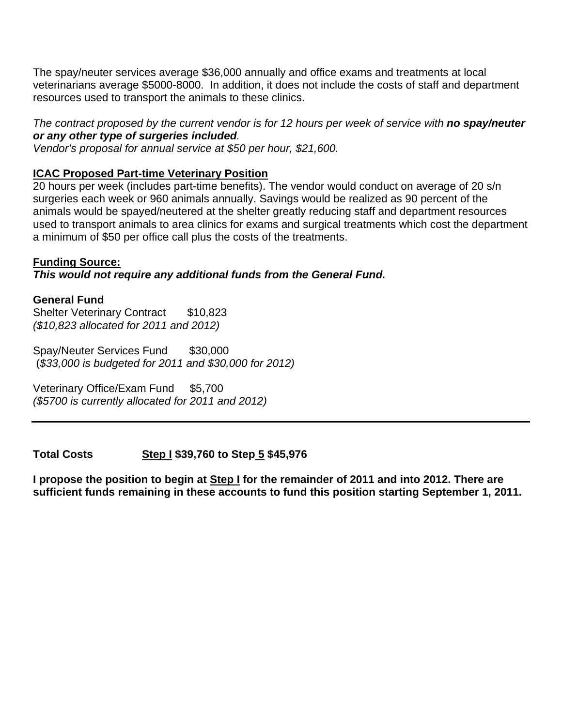The spay/neuter services average \$36,000 annually and office exams and treatments at local veterinarians average \$5000-8000. In addition, it does not include the costs of staff and department resources used to transport the animals to these clinics.

### *The contract proposed by the current vendor is for 12 hours per week of service with no spay/neuter or any other type of surgeries included.*

*Vendor's proposal for annual service at \$50 per hour, \$21,600.* 

## **ICAC Proposed Part-time Veterinary Position**

20 hours per week (includes part-time benefits). The vendor would conduct on average of 20 s/n surgeries each week or 960 animals annually. Savings would be realized as 90 percent of the animals would be spayed/neutered at the shelter greatly reducing staff and department resources used to transport animals to area clinics for exams and surgical treatments which cost the department a minimum of \$50 per office call plus the costs of the treatments.

### **Funding Source:**

*This would not require any additional funds from the General Fund.*

### **General Fund**

Shelter Veterinary Contract \$10,823 *(\$10,823 allocated for 2011 and 2012)*

Spay/Neuter Services Fund \$30,000 (*\$33,000 is budgeted for 2011 and \$30,000 for 2012)* 

Veterinary Office/Exam Fund \$5,700 *(\$5700 is currently allocated for 2011 and 2012)* 

**Total Costs Step I \$39,760 to Step 5 \$45,976** 

**I propose the position to begin at Step I for the remainder of 2011 and into 2012. There are sufficient funds remaining in these accounts to fund this position starting September 1, 2011.**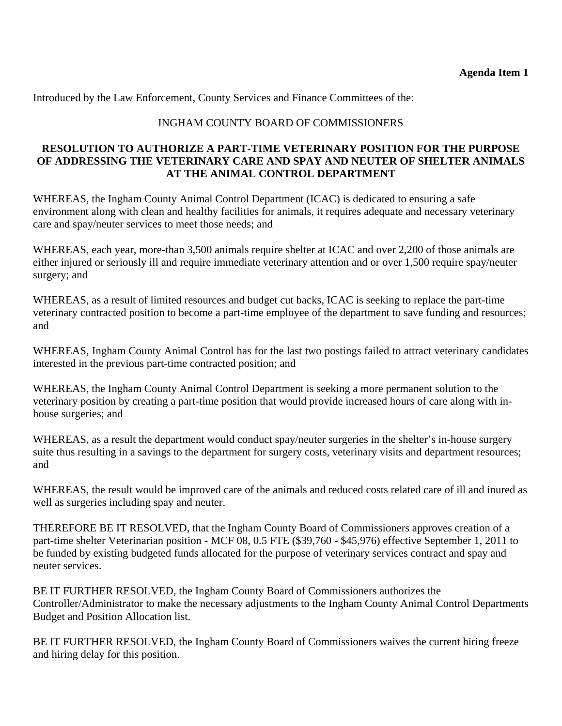Introduced by the Law Enforcement, County Services and Finance Committees of the:

### INGHAM COUNTY BOARD OF COMMISSIONERS

### **RESOLUTION TO AUTHORIZE A PART-TIME VETERINARY POSITION FOR THE PURPOSE OF ADDRESSING THE VETERINARY CARE AND SPAY AND NEUTER OF SHELTER ANIMALS AT THE ANIMAL CONTROL DEPARTMENT**

WHEREAS, the Ingham County Animal Control Department (ICAC) is dedicated to ensuring a safe environment along with clean and healthy facilities for animals, it requires adequate and necessary veterinary care and spay/neuter services to meet those needs; and

WHEREAS, each year, more-than 3,500 animals require shelter at ICAC and over 2,200 of those animals are either injured or seriously ill and require immediate veterinary attention and or over 1,500 require spay/neuter surgery; and

WHEREAS, as a result of limited resources and budget cut backs, ICAC is seeking to replace the part-time veterinary contracted position to become a part-time employee of the department to save funding and resources; and

WHEREAS, Ingham County Animal Control has for the last two postings failed to attract veterinary candidates interested in the previous part-time contracted position; and

WHEREAS, the Ingham County Animal Control Department is seeking a more permanent solution to the veterinary position by creating a part-time position that would provide increased hours of care along with inhouse surgeries; and

WHEREAS, as a result the department would conduct spay/neuter surgeries in the shelter's in-house surgery suite thus resulting in a savings to the department for surgery costs, veterinary visits and department resources; and

WHEREAS, the result would be improved care of the animals and reduced costs related care of ill and inured as well as surgeries including spay and neuter.

THEREFORE BE IT RESOLVED, that the Ingham County Board of Commissioners approves creation of a part-time shelter Veterinarian position - MCF 08, 0.5 FTE (\$39,760 - \$45,976) effective September 1, 2011 to be funded by existing budgeted funds allocated for the purpose of veterinary services contract and spay and neuter services.

BE IT FURTHER RESOLVED, the Ingham County Board of Commissioners authorizes the Controller/Administrator to make the necessary adjustments to the Ingham County Animal Control Departments Budget and Position Allocation list.

BE IT FURTHER RESOLVED, the Ingham County Board of Commissioners waives the current hiring freeze and hiring delay for this position.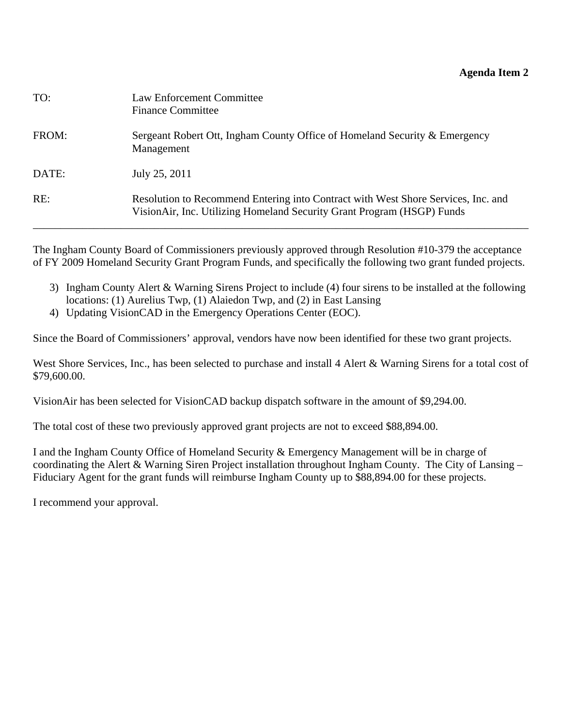### **Agenda Item 2**

<span id="page-10-0"></span>

| TO:   | Law Enforcement Committee<br><b>Finance Committee</b>                                                                                                       |
|-------|-------------------------------------------------------------------------------------------------------------------------------------------------------------|
| FROM: | Sergeant Robert Ott, Ingham County Office of Homeland Security & Emergency<br>Management                                                                    |
| DATE: | July 25, 2011                                                                                                                                               |
| RE:   | Resolution to Recommend Entering into Contract with West Shore Services, Inc. and<br>VisionAir, Inc. Utilizing Homeland Security Grant Program (HSGP) Funds |

The Ingham County Board of Commissioners previously approved through Resolution #10-379 the acceptance of FY 2009 Homeland Security Grant Program Funds, and specifically the following two grant funded projects.

- 3) Ingham County Alert & Warning Sirens Project to include (4) four sirens to be installed at the following locations: (1) Aurelius Twp, (1) Alaiedon Twp, and (2) in East Lansing
- 4) Updating VisionCAD in the Emergency Operations Center (EOC).

Since the Board of Commissioners' approval, vendors have now been identified for these two grant projects.

West Shore Services, Inc., has been selected to purchase and install 4 Alert & Warning Sirens for a total cost of \$79,600.00.

VisionAir has been selected for VisionCAD backup dispatch software in the amount of \$9,294.00.

The total cost of these two previously approved grant projects are not to exceed \$88,894.00.

I and the Ingham County Office of Homeland Security & Emergency Management will be in charge of coordinating the Alert & Warning Siren Project installation throughout Ingham County. The City of Lansing – Fiduciary Agent for the grant funds will reimburse Ingham County up to \$88,894.00 for these projects.

I recommend your approval.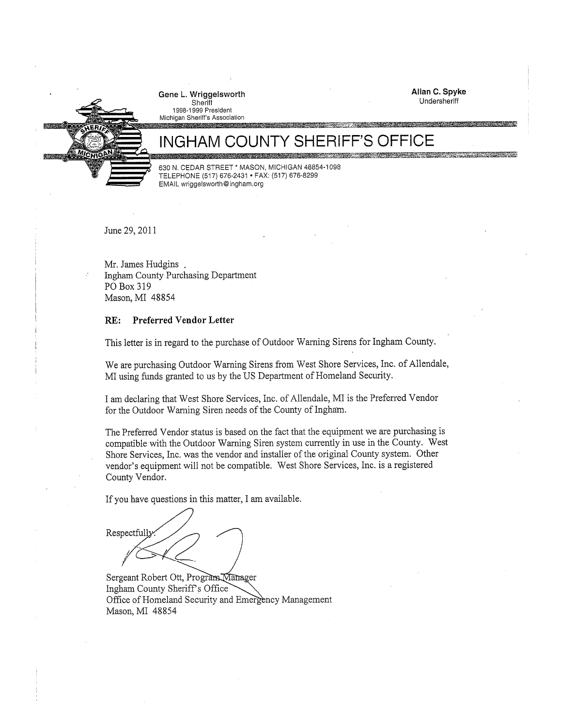Gene L. Wriggelsworth Sheriff<br>1998-1999 President



Michigan Sheriff's Association 

# 提供納遣

630 N. CEDAR STREET \* MASON, MICHIGAN 48854-1098 TELEPHONE (517) 676-2431 · FAX: (517) 676-8299 EMAIL wriggelsworth@ingham.org

June 29, 2011

Mr. James Hudgins. Ingham County Purchasing Department PO Box 319 Mason, MI 48854

### Preferred Vendor Letter RE:

This letter is in regard to the purchase of Outdoor Warning Sirens for Ingham County.

We are purchasing Outdoor Warning Sirens from West Shore Services, Inc. of Allendale, MI using funds granted to us by the US Department of Homeland Security.

I am declaring that West Shore Services, Inc. of Allendale, MI is the Preferred Vendor for the Outdoor Warning Siren needs of the County of Ingham.

The Preferred Vendor status is based on the fact that the equipment we are purchasing is compatible with the Outdoor Warning Siren system currently in use in the County. West Shore Services, Inc. was the vendor and installer of the original County system. Other vendor's equipment will not be compatible. West Shore Services, Inc. is a registered County Vendor.

If you have questions in this matter, I am available.

Respectfully

Sergeant Robert Ott, Program Manager Ingham County Sheriff's Office Office of Homeland Security and Emergency Management Mason, MI 48854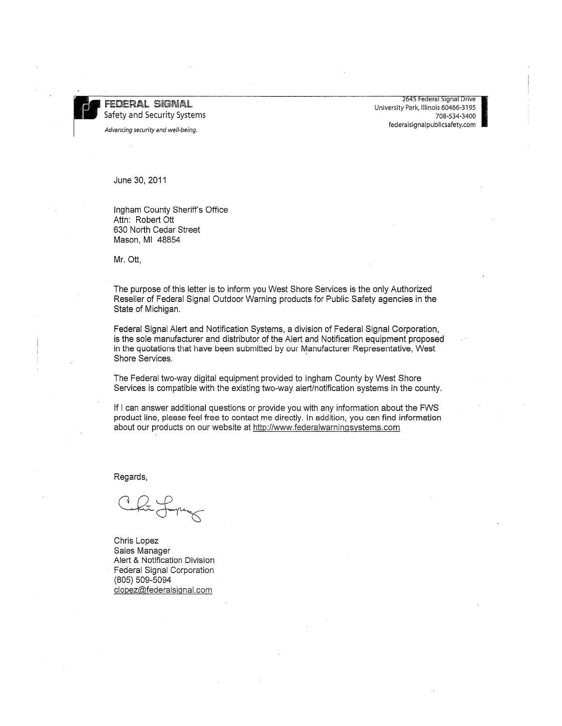FEDERAL SIGNAL Safety and Security Systems

Advancing security and well-being.

2645 Federal Signal Drive University Park, Illinois 60466-3195 708-534-3400 federalsignalpublicsafety.com

June 30, 2011

Ingham County Sheriff's Office Attn: Robert Ott 630 North Cedar Street Mason, MI 48854

Mr. Ott,

The purpose of this letter is to inform you West Shore Services is the only Authorized Reseller of Federal Signal Outdoor Warning products for Public Safety agencies in the State of Michigan.

Federal Signal Alert and Notification Systems, a division of Federal Signal Corporation, is the sole manufacturer and distributor of the Alert and Notification equipment proposed in the quotations that have been submitted by our Manufacturer Representative, West Shore Services.

The Federal two-way digital equipment provided to Ingham County by West Shore Services is compatible with the existing two-way alert/notification systems in the county.

If I can answer additional questions or provide you with any information about the FWS product line, please feel free to contact me directly. In addition, you can find information about our products on our website at http://www.federalwarningsystems.com

Regards,

Chris Lopez Sales Manager Alert & Notification Division Federal Signal Corporation (805) 509-5094 clopez@federalsignal.com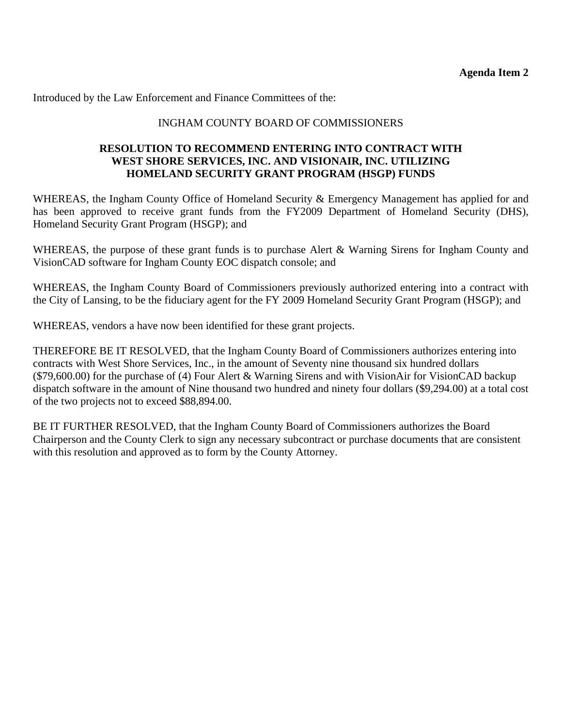Introduced by the Law Enforcement and Finance Committees of the:

### INGHAM COUNTY BOARD OF COMMISSIONERS

### **RESOLUTION TO RECOMMEND ENTERING INTO CONTRACT WITH WEST SHORE SERVICES, INC. AND VISIONAIR, INC. UTILIZING HOMELAND SECURITY GRANT PROGRAM (HSGP) FUNDS**

WHEREAS, the Ingham County Office of Homeland Security & Emergency Management has applied for and has been approved to receive grant funds from the FY2009 Department of Homeland Security (DHS), Homeland Security Grant Program (HSGP); and

WHEREAS, the purpose of these grant funds is to purchase Alert & Warning Sirens for Ingham County and VisionCAD software for Ingham County EOC dispatch console; and

WHEREAS, the Ingham County Board of Commissioners previously authorized entering into a contract with the City of Lansing, to be the fiduciary agent for the FY 2009 Homeland Security Grant Program (HSGP); and

WHEREAS, vendors a have now been identified for these grant projects.

THEREFORE BE IT RESOLVED, that the Ingham County Board of Commissioners authorizes entering into contracts with West Shore Services, Inc., in the amount of Seventy nine thousand six hundred dollars (\$79,600.00) for the purchase of (4) Four Alert & Warning Sirens and with VisionAir for VisionCAD backup dispatch software in the amount of Nine thousand two hundred and ninety four dollars (\$9,294.00) at a total cost of the two projects not to exceed \$88,894.00.

BE IT FURTHER RESOLVED, that the Ingham County Board of Commissioners authorizes the Board Chairperson and the County Clerk to sign any necessary subcontract or purchase documents that are consistent with this resolution and approved as to form by the County Attorney.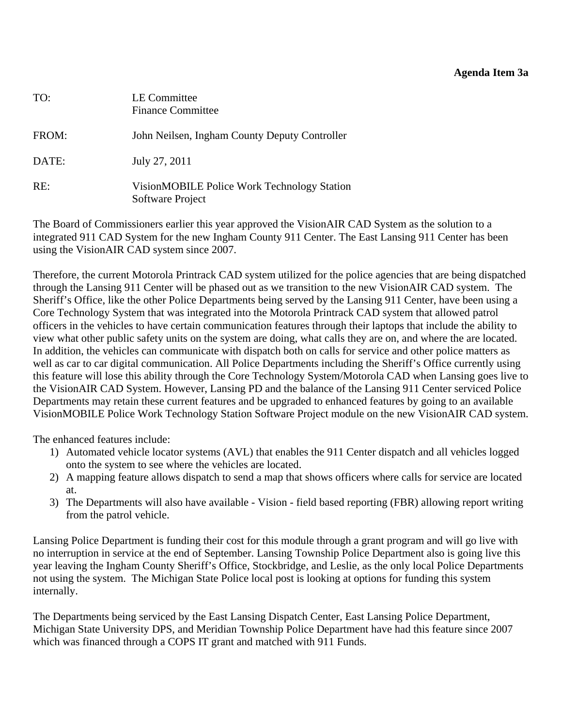### **Agenda Item 3a**

<span id="page-14-0"></span>

| TO:   | LE Committee<br><b>Finance Committee</b>                        |
|-------|-----------------------------------------------------------------|
| FROM: | John Neilsen, Ingham County Deputy Controller                   |
| DATE: | July 27, 2011                                                   |
| RE:   | VisionMOBILE Police Work Technology Station<br>Software Project |

The Board of Commissioners earlier this year approved the VisionAIR CAD System as the solution to a integrated 911 CAD System for the new Ingham County 911 Center. The East Lansing 911 Center has been using the VisionAIR CAD system since 2007.

Therefore, the current Motorola Printrack CAD system utilized for the police agencies that are being dispatched through the Lansing 911 Center will be phased out as we transition to the new VisionAIR CAD system. The Sheriff's Office, like the other Police Departments being served by the Lansing 911 Center, have been using a Core Technology System that was integrated into the Motorola Printrack CAD system that allowed patrol officers in the vehicles to have certain communication features through their laptops that include the ability to view what other public safety units on the system are doing, what calls they are on, and where the are located. In addition, the vehicles can communicate with dispatch both on calls for service and other police matters as well as car to car digital communication. All Police Departments including the Sheriff's Office currently using this feature will lose this ability through the Core Technology System/Motorola CAD when Lansing goes live to the VisionAIR CAD System. However, Lansing PD and the balance of the Lansing 911 Center serviced Police Departments may retain these current features and be upgraded to enhanced features by going to an available VisionMOBILE Police Work Technology Station Software Project module on the new VisionAIR CAD system.

The enhanced features include:

- 1) Automated vehicle locator systems (AVL) that enables the 911 Center dispatch and all vehicles logged onto the system to see where the vehicles are located.
- 2) A mapping feature allows dispatch to send a map that shows officers where calls for service are located at.
- 3) The Departments will also have available Vision field based reporting (FBR) allowing report writing from the patrol vehicle.

Lansing Police Department is funding their cost for this module through a grant program and will go live with no interruption in service at the end of September. Lansing Township Police Department also is going live this year leaving the Ingham County Sheriff's Office, Stockbridge, and Leslie, as the only local Police Departments not using the system. The Michigan State Police local post is looking at options for funding this system internally.

The Departments being serviced by the East Lansing Dispatch Center, East Lansing Police Department, Michigan State University DPS, and Meridian Township Police Department have had this feature since 2007 which was financed through a COPS IT grant and matched with 911 Funds.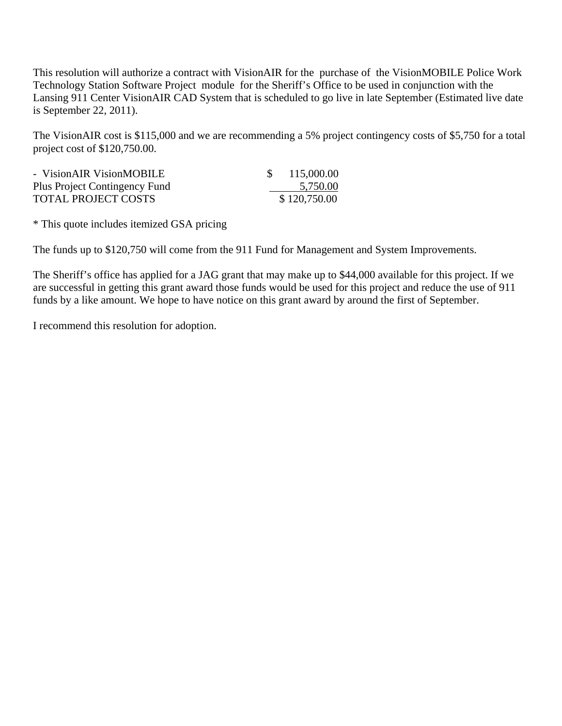This resolution will authorize a contract with VisionAIR for the purchase of the VisionMOBILE Police Work Technology Station Software Project module for the Sheriff's Office to be used in conjunction with the Lansing 911 Center VisionAIR CAD System that is scheduled to go live in late September (Estimated live date is September 22, 2011).

The VisionAIR cost is \$115,000 and we are recommending a 5% project contingency costs of \$5,750 for a total project cost of \$120,750.00.

| - VisionAIR VisionMOBILE      | 115,000.00   |
|-------------------------------|--------------|
| Plus Project Contingency Fund | 5,750.00     |
| <b>TOTAL PROJECT COSTS</b>    | \$120,750.00 |

\* This quote includes itemized GSA pricing

The funds up to \$120,750 will come from the 911 Fund for Management and System Improvements.

The Sheriff's office has applied for a JAG grant that may make up to \$44,000 available for this project. If we are successful in getting this grant award those funds would be used for this project and reduce the use of 911 funds by a like amount. We hope to have notice on this grant award by around the first of September.

I recommend this resolution for adoption.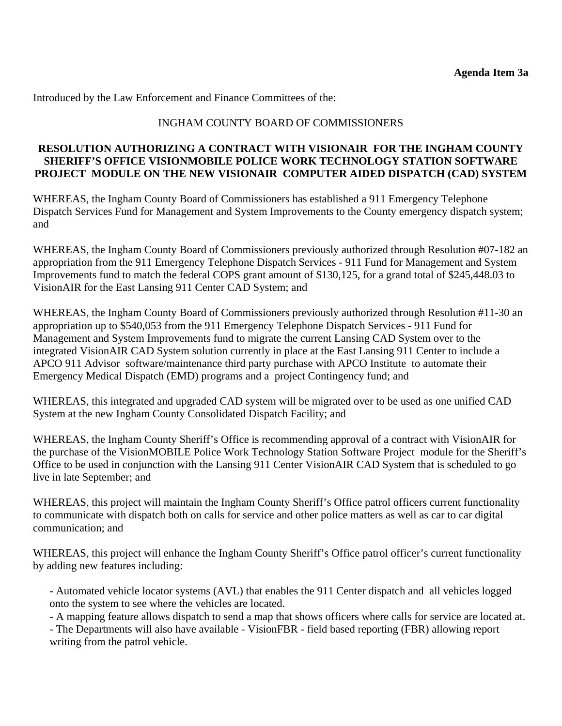Introduced by the Law Enforcement and Finance Committees of the:

### INGHAM COUNTY BOARD OF COMMISSIONERS

### **RESOLUTION AUTHORIZING A CONTRACT WITH VISIONAIR FOR THE INGHAM COUNTY SHERIFF'S OFFICE VISIONMOBILE POLICE WORK TECHNOLOGY STATION SOFTWARE PROJECT MODULE ON THE NEW VISIONAIR COMPUTER AIDED DISPATCH (CAD) SYSTEM**

WHEREAS, the Ingham County Board of Commissioners has established a 911 Emergency Telephone Dispatch Services Fund for Management and System Improvements to the County emergency dispatch system; and

WHEREAS, the Ingham County Board of Commissioners previously authorized through Resolution #07-182 an appropriation from the 911 Emergency Telephone Dispatch Services - 911 Fund for Management and System Improvements fund to match the federal COPS grant amount of \$130,125, for a grand total of \$245,448.03 to VisionAIR for the East Lansing 911 Center CAD System; and

WHEREAS, the Ingham County Board of Commissioners previously authorized through Resolution #11-30 an appropriation up to \$540,053 from the 911 Emergency Telephone Dispatch Services - 911 Fund for Management and System Improvements fund to migrate the current Lansing CAD System over to the integrated VisionAIR CAD System solution currently in place at the East Lansing 911 Center to include a APCO 911 Advisor software/maintenance third party purchase with APCO Institute to automate their Emergency Medical Dispatch (EMD) programs and a project Contingency fund; and

WHEREAS, this integrated and upgraded CAD system will be migrated over to be used as one unified CAD System at the new Ingham County Consolidated Dispatch Facility; and

WHEREAS, the Ingham County Sheriff's Office is recommending approval of a contract with VisionAIR for the purchase of the VisionMOBILE Police Work Technology Station Software Project module for the Sheriff's Office to be used in conjunction with the Lansing 911 Center VisionAIR CAD System that is scheduled to go live in late September; and

WHEREAS, this project will maintain the Ingham County Sheriff's Office patrol officers current functionality to communicate with dispatch both on calls for service and other police matters as well as car to car digital communication; and

WHEREAS, this project will enhance the Ingham County Sheriff's Office patrol officer's current functionality by adding new features including:

- Automated vehicle locator systems (AVL) that enables the 911 Center dispatch and all vehicles logged onto the system to see where the vehicles are located.

- A mapping feature allows dispatch to send a map that shows officers where calls for service are located at.

- The Departments will also have available - VisionFBR - field based reporting (FBR) allowing report writing from the patrol vehicle.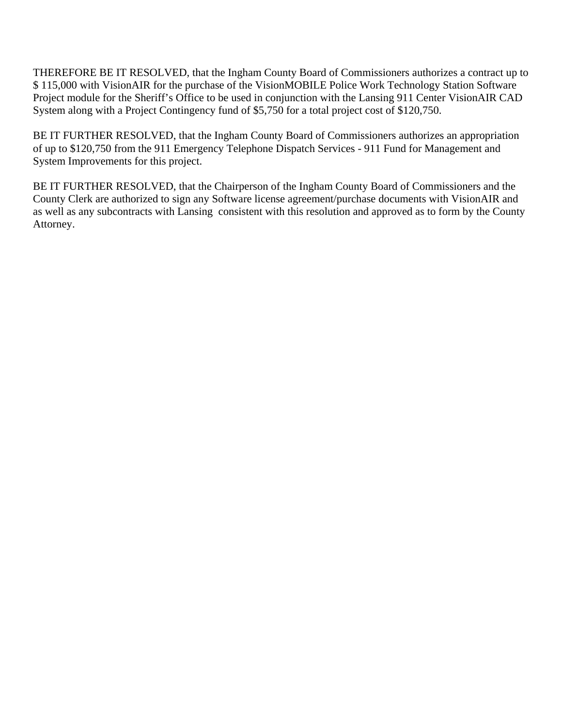THEREFORE BE IT RESOLVED, that the Ingham County Board of Commissioners authorizes a contract up to \$ 115,000 with VisionAIR for the purchase of the VisionMOBILE Police Work Technology Station Software Project module for the Sheriff's Office to be used in conjunction with the Lansing 911 Center VisionAIR CAD System along with a Project Contingency fund of \$5,750 for a total project cost of \$120,750.

BE IT FURTHER RESOLVED, that the Ingham County Board of Commissioners authorizes an appropriation of up to \$120,750 from the 911 Emergency Telephone Dispatch Services - 911 Fund for Management and System Improvements for this project.

BE IT FURTHER RESOLVED, that the Chairperson of the Ingham County Board of Commissioners and the County Clerk are authorized to sign any Software license agreement/purchase documents with VisionAIR and as well as any subcontracts with Lansing consistent with this resolution and approved as to form by the County Attorney.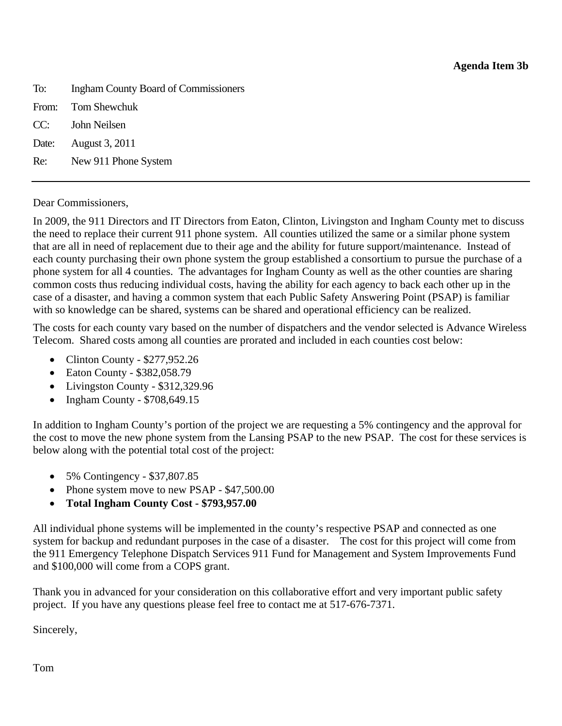<span id="page-18-0"></span>To: Ingham County Board of Commissioners From: Tom Shewchuk CC: John Neilsen Date: August 3, 2011 Re: New 911 Phone System

### Dear Commissioners,

In 2009, the 911 Directors and IT Directors from Eaton, Clinton, Livingston and Ingham County met to discuss the need to replace their current 911 phone system. All counties utilized the same or a similar phone system that are all in need of replacement due to their age and the ability for future support/maintenance. Instead of each county purchasing their own phone system the group established a consortium to pursue the purchase of a phone system for all 4 counties. The advantages for Ingham County as well as the other counties are sharing common costs thus reducing individual costs, having the ability for each agency to back each other up in the case of a disaster, and having a common system that each Public Safety Answering Point (PSAP) is familiar with so knowledge can be shared, systems can be shared and operational efficiency can be realized.

The costs for each county vary based on the number of dispatchers and the vendor selected is Advance Wireless Telecom. Shared costs among all counties are prorated and included in each counties cost below:

- Clinton County \$277,952.26
- Eaton County \$382,058.79
- Livingston County \$312,329.96
- Ingham County \$708,649.15

In addition to Ingham County's portion of the project we are requesting a 5% contingency and the approval for the cost to move the new phone system from the Lansing PSAP to the new PSAP. The cost for these services is below along with the potential total cost of the project:

- 5% Contingency \$37,807.85
- Phone system move to new PSAP \$47,500.00
- **Total Ingham County Cost \$793,957.00**

All individual phone systems will be implemented in the county's respective PSAP and connected as one system for backup and redundant purposes in the case of a disaster. The cost for this project will come from the 911 Emergency Telephone Dispatch Services 911 Fund for Management and System Improvements Fund and \$100,000 will come from a COPS grant.

Thank you in advanced for your consideration on this collaborative effort and very important public safety project. If you have any questions please feel free to contact me at 517-676-7371.

Sincerely,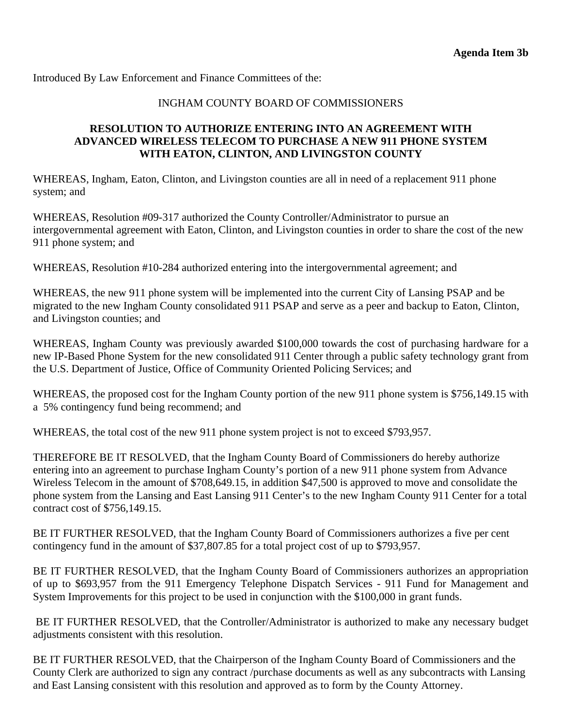Introduced By Law Enforcement and Finance Committees of the:

### INGHAM COUNTY BOARD OF COMMISSIONERS

### **RESOLUTION TO AUTHORIZE ENTERING INTO AN AGREEMENT WITH ADVANCED WIRELESS TELECOM TO PURCHASE A NEW 911 PHONE SYSTEM WITH EATON, CLINTON, AND LIVINGSTON COUNTY**

WHEREAS, Ingham, Eaton, Clinton, and Livingston counties are all in need of a replacement 911 phone system; and

WHEREAS, Resolution #09-317 authorized the County Controller/Administrator to pursue an intergovernmental agreement with Eaton, Clinton, and Livingston counties in order to share the cost of the new 911 phone system; and

WHEREAS, Resolution #10-284 authorized entering into the intergovernmental agreement; and

WHEREAS, the new 911 phone system will be implemented into the current City of Lansing PSAP and be migrated to the new Ingham County consolidated 911 PSAP and serve as a peer and backup to Eaton, Clinton, and Livingston counties; and

WHEREAS, Ingham County was previously awarded \$100,000 towards the cost of purchasing hardware for a new IP-Based Phone System for the new consolidated 911 Center through a public safety technology grant from the U.S. Department of Justice, Office of Community Oriented Policing Services; and

WHEREAS, the proposed cost for the Ingham County portion of the new 911 phone system is \$756,149.15 with a 5% contingency fund being recommend; and

WHEREAS, the total cost of the new 911 phone system project is not to exceed \$793,957.

THEREFORE BE IT RESOLVED, that the Ingham County Board of Commissioners do hereby authorize entering into an agreement to purchase Ingham County's portion of a new 911 phone system from Advance Wireless Telecom in the amount of \$708,649.15, in addition \$47,500 is approved to move and consolidate the phone system from the Lansing and East Lansing 911 Center's to the new Ingham County 911 Center for a total contract cost of \$756,149.15.

BE IT FURTHER RESOLVED, that the Ingham County Board of Commissioners authorizes a five per cent contingency fund in the amount of \$37,807.85 for a total project cost of up to \$793,957.

BE IT FURTHER RESOLVED, that the Ingham County Board of Commissioners authorizes an appropriation of up to \$693,957 from the 911 Emergency Telephone Dispatch Services - 911 Fund for Management and System Improvements for this project to be used in conjunction with the \$100,000 in grant funds.

 BE IT FURTHER RESOLVED, that the Controller/Administrator is authorized to make any necessary budget adjustments consistent with this resolution.

BE IT FURTHER RESOLVED, that the Chairperson of the Ingham County Board of Commissioners and the County Clerk are authorized to sign any contract /purchase documents as well as any subcontracts with Lansing and East Lansing consistent with this resolution and approved as to form by the County Attorney.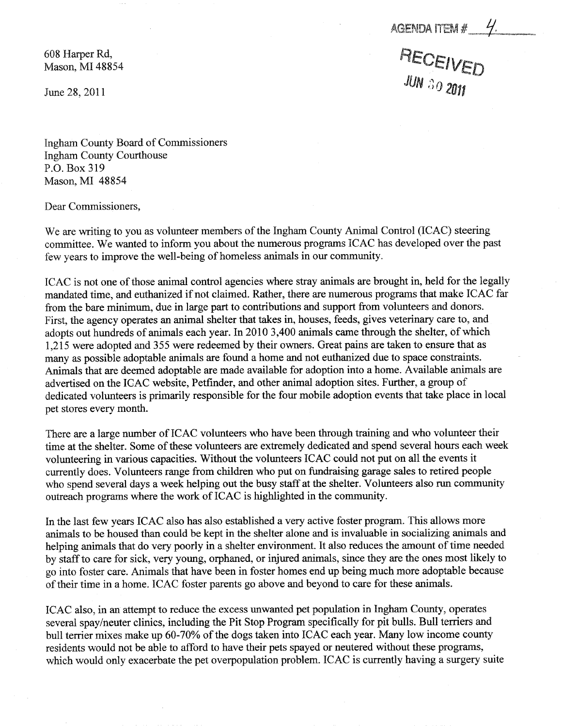AGENDA ITEM #

RECEIVED

<span id="page-20-0"></span>608 Harper Rd, Mason, MI 48854

June 28, 2011

Ingham County Board of Commissioners Ingham County Courthouse P.O. Box 319 Mason, MI 48854

Dear Commissioners,

We are writing to you as volunteer members of the Ingham County Animal Control (ICAC) steering committee. We wanted to inform you about the numerous programs ICAC has developed over the past few years to improve the well-being of homeless animals in our community.

ICAC is not one of those animal control agencies where stray animals are brought in, held for the legally mandated time, and euthanized if not claimed. Rather, there are numerous programs that make ICAC far from the bare minimum, due in large part to contributions and support from volunteers and donors. First, the agency operates an animal shelter that takes in, houses, feeds, gives veterinary care to, and adopts out hundreds of animals each year. In 2010 3,400 animals came through the shelter, of which 1,215 were adopted and 355 were redeemed by their owners. Great pains are taken to ensure that as many as possible adoptable animals are found a home and not euthanized due to space constraints. Animals that are deemed adoptable are made available for adoption into a home. Available animals are advertised on the IGAC website, Petfinder, and other animal adoption sites. Further, a group of dedicated volunteers is primarily responsible for the four mobile adoption events that take place in local pet stores every month.

There are a large number of ICAC volunteers who have been through training and who volunteer their time at the shelter. Some of these volunteers are extremely dedicated and spend several hours each week volunteering in various capacities. Without the volunteers ICAC could not put on all the events it currently does. Volunteers range from children who put on fundraising garage sales to retired people who spend several days a week helping out the busy staff at the shelter. Volunteers also run community outreach programs where the work of ICAC is highlighted in the community.

In the last few years ICAC also has also established a very active foster program. This allows more animals to be housed than could be kept in the shelter alone and is invaluable in socializing animals and helping animals that do very poorly in a shelter environment. It also reduces the amount of time needed by staff to care for sick, very young, orphaned, or injured animals, since they are the ones most likely to go into foster care. Animals that have been in foster homes end up being much more adoptable because of their time in a home. ICAC foster parents go above and beyond to care for these animals.

ICAC also, in an attempt to reduce the excess unwanted pet population in Ingham County, operates several spay/neuter clinics, including the Pit Stop Program specifically for pit bulls. Bull terriers and bull terrier mixes make up 60-70% of the dogs taken into ICAC each year. Many low income county residents would not be able to afford to have their pets spayed or neutered without these programs, which would only exacerbate the pet overpopulation problem. ICAC is currently having a surgery suite